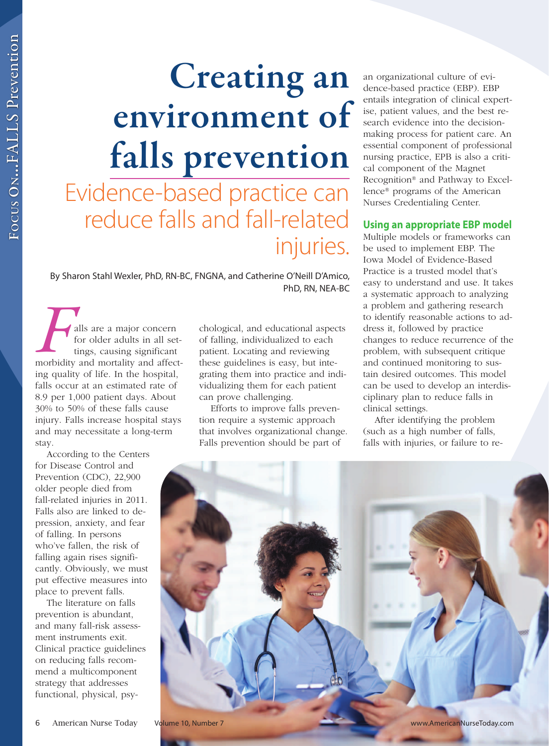# **Creating an environment of falls prevention**  Evidence-based practice can reduce falls and fall-related injuries.

 By Sharon Stahl Wexler, PhD, RN-BC, FNGNA, and Catherine O'Neill D'Amico, PhD, RN, NEA-BC

alls are a major concern for older adults in all settings, causing significant morbidity and mortality and affecting quality of life. In the hospital, falls occur at an estimated rate of 8.9 per 1,000 patient days. About 30% to 50% of these falls cause injury. Falls increase hospital stays and may necessitate a long-term stay. F

According to the Centers for Disease Control and Prevention (CDC), 22,900 older people died from fall-related injuries in 2011. Falls also are linked to depression, anxiety, and fear of falling. In persons who've fallen, the risk of falling again rises significantly. Obviously, we must put effective measures into place to prevent falls.

The literature on falls prevention is abundant, and many fall-risk assessment instruments exit. Clinical practice guidelines on reducing falls recommend a multicomponent strategy that addresses functional, physical, psychological, and educational aspects of falling, individualized to each patient. Locating and reviewing these guidelines is easy, but integrating them into practice and individualizing them for each patient can prove challenging.

Efforts to improve falls prevention require a systemic approach that involves organizational change. Falls prevention should be part of

an organizational culture of evidence-based practice (EBP). EBP entails integration of clinical expertise, patient values, and the best research evidence into the decisionmaking process for patient care. An essential component of professional nursing practice, EPB is also a critical component of the Magnet Recognition® and Pathway to Excellence® programs of the American Nurses Credentialing Center.

# **Using an appropriate EBP model**

Multiple models or frameworks can be used to implement EBP. The Iowa Model of Evidence-Based Practice is a trusted model that's easy to understand and use. It takes a systematic approach to analyzing a problem and gathering research to identify reasonable actions to address it, followed by practice changes to reduce recurrence of the problem, with subsequent critique and continued monitoring to sustain desired outcomes. This model can be used to develop an interdisciplinary plan to reduce falls in clinical settings.

After identifying the problem (such as a high number of falls, falls with injuries, or failure to re-